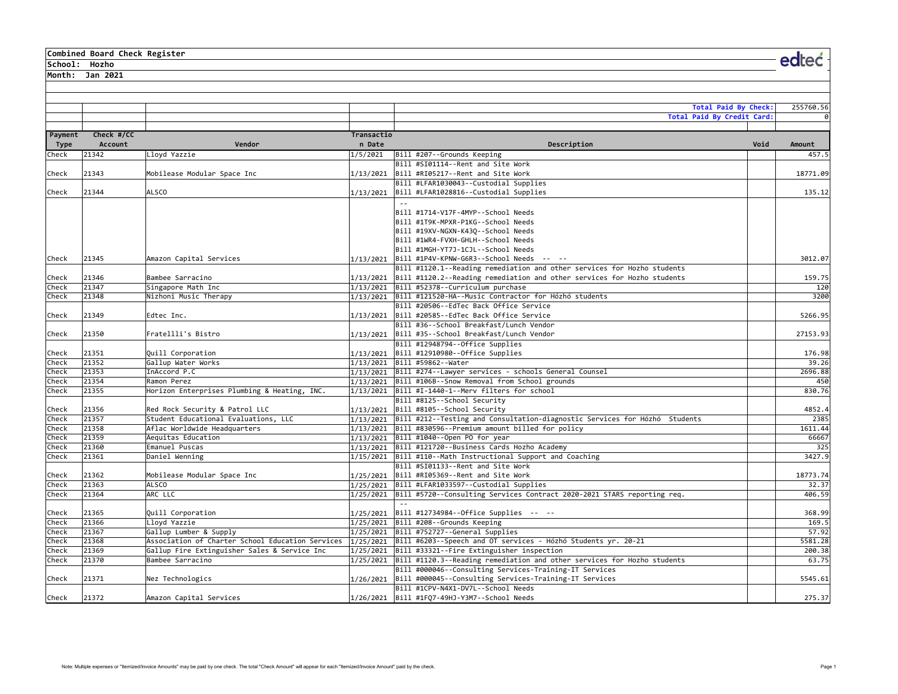#### **Combined Board Check Register**

**School: Hozho**

**Month: Jan 2021**

|                 |                       |                                              |                      | <b>Total Paid By Check:</b>                                                                                                |      | 255760.56     |
|-----------------|-----------------------|----------------------------------------------|----------------------|----------------------------------------------------------------------------------------------------------------------------|------|---------------|
|                 |                       |                                              |                      | Total Paid By Credit Card:                                                                                                 |      |               |
| Payment<br>Type | Check #/CC<br>Account | Vendor                                       | Transactio<br>n Date | Description                                                                                                                | Void | Amount        |
| Check           | 21342                 | Lloyd Yazzie                                 | 1/5/2021             | Bill #207--Grounds Keeping                                                                                                 |      | 457.5         |
|                 |                       |                                              |                      | Bill #SI01114--Rent and Site Work                                                                                          |      |               |
| Check           | 21343                 | Mobilease Modular Space Inc                  | 1/13/2021            | Bill #RI05217--Rent and Site Work                                                                                          |      | 18771.09      |
|                 |                       |                                              |                      | Bill #LFAR1030043--Custodial Supplies                                                                                      |      |               |
| Check           | 21344                 | <b>ALSCO</b>                                 | 1/13/2021            | Bill #LFAR1028816--Custodial Supplies                                                                                      |      | 135.12        |
|                 |                       |                                              |                      | $\omega$ $\omega$                                                                                                          |      |               |
|                 |                       |                                              |                      | Bill #1714-V17F-4MYP--School Needs<br>Bill #1T9K-MPXR-P1KG--School Needs                                                   |      |               |
|                 |                       |                                              |                      | Bill #19XV-NGXN-K430--School Needs                                                                                         |      |               |
|                 |                       |                                              |                      | Bill #1WR4-FVXH-GHLH--School Needs                                                                                         |      |               |
|                 |                       |                                              |                      | Bill #1MGH-YT7J-1CJL--School Needs                                                                                         |      |               |
| Check           | 21345                 | Amazon Capital Services                      | 1/13/2021            | Bill #1P4V-KPNW-G6R3--School Needs -- --                                                                                   |      | 3012.07       |
|                 |                       |                                              |                      | Bill #1120.1--Reading remediation and other services for Hozho students                                                    |      |               |
| Check           | 21346                 | Bambee Sarracino                             |                      | $ 1/13/2021 $ Bill #1120.2--Reading remediation and other services for Hozho students                                      |      | 159.75        |
| Check           | 21347                 | Singapore Math Inc                           |                      | 1/13/2021 Bill #52378--Curriculum purchase                                                                                 |      | 120           |
| Check           | 21348                 | Nizhoni Music Therapy                        |                      | 1/13/2021 Bill #121520-HA--Music Contractor for Hózhó students                                                             |      | 3200          |
|                 |                       |                                              |                      | Bill #20506--EdTec Back Office Service                                                                                     |      |               |
| Check           | 21349                 | Edtec Inc.                                   | 1/13/2021            | Bill #20585--EdTec Back Office Service                                                                                     |      | 5266.95       |
|                 |                       |                                              |                      | Bill #36--School Breakfast/Lunch Vendor                                                                                    |      |               |
| Check           | 21350                 | Fratellli's Bistro                           | 1/13/2021            | Bill #35--School Breakfast/Lunch Vendor                                                                                    |      | 27153.93      |
|                 |                       |                                              |                      | Bill #12948794--Office Supplies                                                                                            |      |               |
| Check           | 21351                 | Quill Corporation                            |                      | 1/13/2021 Bill #12910980--Office Supplies                                                                                  |      | 176.98        |
| Check           | 21352                 | Gallup Water Works                           |                      | 1/13/2021 Bill #59862--Water                                                                                               |      | 39.26         |
| Check           | 21353                 | InAccord P.C                                 |                      | $1/13/2021$ Bill #274--Lawyer services - schools General Counsel                                                           |      | 2696.88       |
| Check           | 21354                 | Ramon Perez                                  |                      | 1/13/2021 Bill #106B--Snow Removal from School grounds                                                                     |      | 450           |
| Check           | 21355                 | Horizon Enterprises Plumbing & Heating, INC. | 1/13/2021            | Bill #I-1440-1--Merv filters for school                                                                                    |      | 830.76        |
|                 |                       |                                              |                      | Bill #8125--School Security                                                                                                |      |               |
| Check           | 21356                 | Red Rock Security & Patrol LLC               |                      | 1/13/2021 Bill #8105--School Security                                                                                      |      | 4852.4        |
| Check           | 21357                 | Student Educational Evaluations, LLC         |                      | 1/13/2021 Bill #212--Testing and Consultation-diagnostic Services for Hózhó Students                                       |      | 2385          |
| Check           | 21358                 | Aflac Worldwide Headquarters                 |                      | $1/13/2021$ Bill #830596--Premium amount billed for policy                                                                 |      | 1611.44       |
| Check           | 21359                 | Aequitas Education                           |                      | 1/13/2021 Bill #1040--Open PO for year                                                                                     |      | 66667         |
| Check<br>Check  | 21360<br>21361        | Emanuel Puscas                               |                      | 1/13/2021 Bill #121720--Business Cards Hozho Academy                                                                       |      | 325<br>3427.9 |
|                 |                       | Daniel Wenning                               |                      | 1/15/2021 Bill #110--Math Instructional Support and Coaching<br>Bill #SI01133--Rent and Site Work                          |      |               |
| Check           | 21362                 | Mobilease Modular Space Inc                  | 1/25/2021            | Bill #RI05369--Rent and Site Work                                                                                          |      | 18773.74      |
| Check           | 21363                 | <b>ALSCO</b>                                 | 1/25/2021            | Bill #LFAR1033597--Custodial Supplies                                                                                      |      | 32.37         |
| Check           | 21364                 | ARC LLC                                      | 1/25/2021            | Bill #5720--Consulting Services Contract 2020-2021 STARS reporting req.                                                    |      | 406.59        |
|                 |                       |                                              |                      | $-1$                                                                                                                       |      |               |
| Check           | 21365                 | Quill Corporation                            | 1/25/2021            | Bill #12734984--Office Supplies -- --                                                                                      |      | 368.99        |
| Check           | 21366                 | Lloyd Yazzie                                 |                      | $1/25/2021$ Bill #208--Grounds Keeping                                                                                     |      | 169.5         |
| Check           | 21367                 | Gallup Lumber & Supply                       |                      | 1/25/2021 Bill #752727--General Supplies                                                                                   |      | 57.92         |
| Check           | 21368                 |                                              |                      | Association of Charter School Education Services  1/25/2021  Bill #6203--Speech and OT services - Hózhó Students yr. 20-21 |      | 5581.28       |
| Check           | 21369                 | Gallup Fire Extinguisher Sales & Service Inc |                      | 1/25/2021 Bill #33321--Fire Extinguisher inspection                                                                        |      | 200.38        |
| Check           | 21370                 | Bambee Sarracino                             |                      | $1/25/2021$ Bill #1120.3--Reading remediation and other services for Hozho students                                        |      | 63.75         |
|                 |                       |                                              |                      | Bill #000046--Consulting Services-Training-IT Services                                                                     |      |               |
| Check           | 21371                 | Nez Technologics                             | 1/26/2021            | Bill #000045--Consulting Services-Training-IT Services                                                                     |      | 5545.61       |
|                 |                       |                                              |                      | Bill #1CPV-N4X1-DV7L--School Needs                                                                                         |      |               |
| Check           | 21372                 | Amazon Capital Services                      | 1/26/2021            | Bill #1F07-49HJ-Y3M7--School Needs                                                                                         |      | 275.37        |

edteć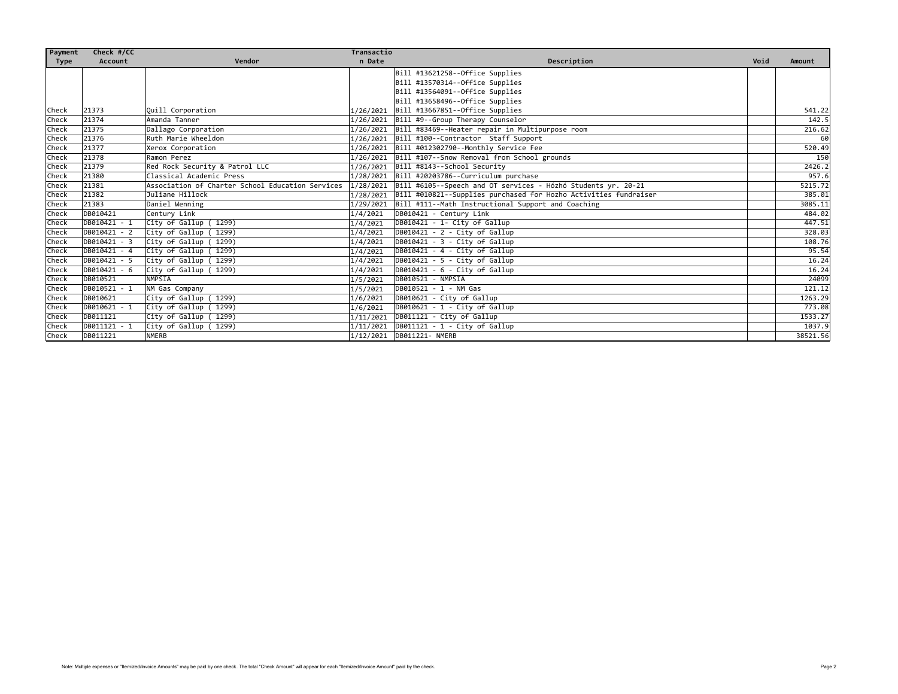| Payment     | Check #/CC   |                                                  | Transactio |                                                                              |      |          |
|-------------|--------------|--------------------------------------------------|------------|------------------------------------------------------------------------------|------|----------|
| <b>Type</b> | Account      | Vendor                                           | n Date     | Description                                                                  | Void | Amount   |
|             |              |                                                  |            | Bill #13621258--Office Supplies                                              |      |          |
|             |              |                                                  |            | Bill #13570314--Office Supplies                                              |      |          |
|             |              |                                                  |            | Bill #13564091--Office Supplies                                              |      |          |
|             |              |                                                  |            | Bill #13658496--Office Supplies                                              |      |          |
| Check       | 21373        | <b>Quill Corporation</b>                         | 1/26/2021  | Bill #13667851--Office Supplies                                              |      | 541.22   |
| Check       | 21374        | Amanda Tanner                                    |            | 1/26/2021 Bill #9--Group Therapy Counselor                                   |      | 142.5    |
| Check       | 21375        | Dallago Corporation                              |            | 1/26/2021 Bill #83469--Heater repair in Multipurpose room                    |      | 216.62   |
| Check       | 21376        | Ruth Marie Wheeldon                              |            | 1/26/2021 Bill #100--Contractor Staff Support                                |      | 60       |
| Check       | 21377        | Xerox Corporation                                |            | 1/26/2021 Bill #012302790--Monthly Service Fee                               |      | 520.49   |
| Check       | 21378        | Ramon Perez                                      |            | 1/26/2021 Bill #107--Snow Removal from School grounds                        |      | 150      |
| Check       | 21379        | Red Rock Security & Patrol LLC                   |            | 1/26/2021 Bill #8143--School Security                                        |      | 2426.2   |
| Check       | 21380        | Classical Academic Press                         |            | 1/28/2021 Bill #20203786--Curriculum purchase                                |      | 957.6    |
| Check       | 21381        | Association of Charter School Education Services |            | 1/28/2021 Bill #6105--Speech and OT services - Hózhó Students yr. 20-21      |      | 5215.72  |
| Check       | 21382        | Juliane Hillock                                  |            | $1/28/2021$ Bill #010821--Supplies purchased for Hozho Activities fundraiser |      | 385.01   |
| Check       | 21383        | Daniel Wenning                                   |            | $1/29/2021$ Bill #111--Math Instructional Support and Coaching               |      | 3085.11  |
| Check       | DB010421     | Century Link                                     | 1/4/2021   | DB010421 - Century Link                                                      |      | 484.02   |
| Check       | DB010421 - 1 | City of Gallup (1299)                            | 1/4/2021   | DB010421 - 1- City of Gallup                                                 |      | 447.51   |
| Check       | DB010421 - 2 | City of Gallup (1299)                            | 1/4/2021   | DB010421 - 2 - City of Gallup                                                |      | 328.03   |
| Check       | DB010421 - 3 | City of Gallup (1299)                            | 1/4/2021   | DB010421 - 3 - City of Gallup                                                |      | 108.76   |
| Check       | DB010421 - 4 | City of Gallup (1299)                            | 1/4/2021   | DB010421 - 4 - City of Gallup                                                |      | 95.54    |
| Check       | DB010421 - 5 | City of Gallup (1299)                            | 1/4/2021   | DB010421 - 5 - City of Gallup                                                |      | 16.24    |
| Check       | DB010421 - 6 | City of Gallup (1299)                            | 1/4/2021   | DB010421 - 6 - City of Gallup                                                |      | 16.24    |
| Check       | DB010521     | <b>NMPSIA</b>                                    | 1/5/2021   | DB010521 - NMPSIA                                                            |      | 24099    |
| Check       | DB010521 - 1 | NM Gas Company                                   | 1/5/2021   | DB010521 - 1 - NM Gas                                                        |      | 121.12   |
| Check       | DB010621     | City of Gallup (1299)                            | 1/6/2021   | DB010621 - City of Gallup                                                    |      | 1263.29  |
| Check       | DB010621 - 1 | City of Gallup (1299)                            | 1/6/2021   | DB010621 - 1 - City of Gallup                                                |      | 773.08   |
| Check       | DB011121     | City of Gallup (1299)                            | 1/11/2021  | DB011121 - City of Gallup                                                    |      | 1533.27  |
| Check       | DB011121 - 1 | City of Gallup (1299)                            |            | $1/11/2021$ DB011121 - 1 - City of Gallup                                    |      | 1037.9   |
| Check       | DB011221     | <b>NMERB</b>                                     |            | 1/12/2021 DB011221- NMERB                                                    |      | 38521.56 |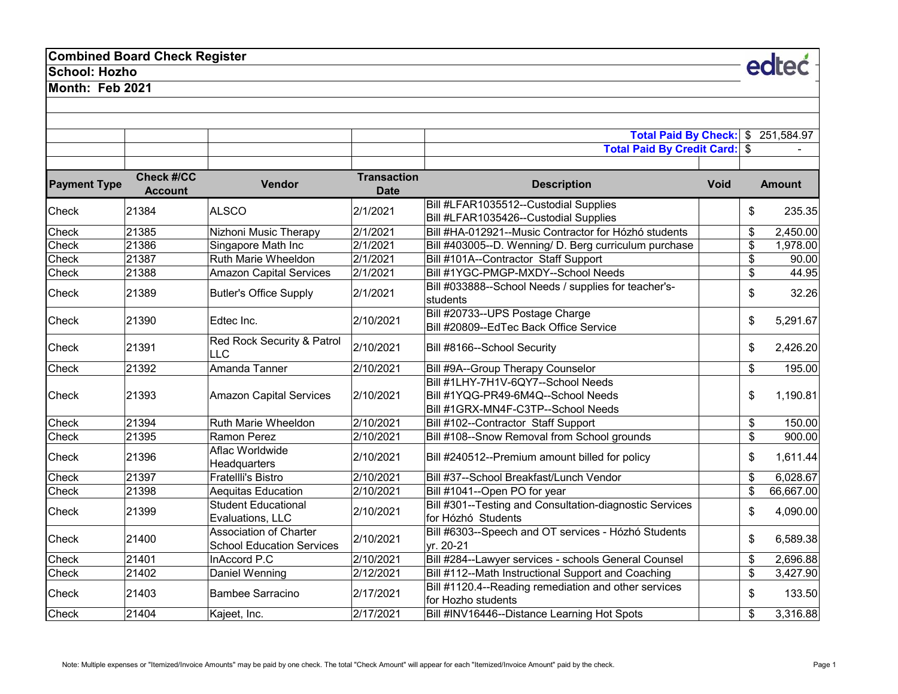# **Combined Board Check Register**

### **School: Hozho**

**Month: Feb 2021**

|                     |                                     |                                                            |                                   | Total Paid By Check: \$                                                                                        |                         | 251,584.97    |
|---------------------|-------------------------------------|------------------------------------------------------------|-----------------------------------|----------------------------------------------------------------------------------------------------------------|-------------------------|---------------|
|                     |                                     |                                                            |                                   | <b>Total Paid By Credit Card: \$</b>                                                                           |                         |               |
| <b>Payment Type</b> | <b>Check #/CC</b><br><b>Account</b> | <b>Vendor</b>                                              | <b>Transaction</b><br><b>Date</b> | <b>Description</b>                                                                                             | <b>Void</b>             | <b>Amount</b> |
| Check               | 21384                               | <b>ALSCO</b>                                               | 2/1/2021                          | Bill #LFAR1035512--Custodial Supplies<br>Bill #LFAR1035426--Custodial Supplies                                 | \$                      | 235.35        |
| Check               | 21385                               | Nizhoni Music Therapy                                      | 2/1/2021                          | Bill #HA-012921--Music Contractor for Hózhó students                                                           | \$                      | 2,450.00      |
| Check               | 21386                               | Singapore Math Inc                                         | 2/1/2021                          | Bill #403005--D. Wenning/ D. Berg curriculum purchase                                                          | \$                      | 1,978.00      |
| Check               | 21387                               | Ruth Marie Wheeldon                                        | 2/1/2021                          | Bill #101A--Contractor Staff Support                                                                           | \$                      | 90.00         |
| Check               | 21388                               | <b>Amazon Capital Services</b>                             | 2/1/2021                          | Bill #1YGC-PMGP-MXDY--School Needs                                                                             | \$                      | 44.95         |
| Check               | 21389                               | <b>Butler's Office Supply</b>                              | 2/1/2021                          | Bill #033888--School Needs / supplies for teacher's-<br>students                                               | \$                      | 32.26         |
| <b>Check</b>        | 21390                               | Edtec Inc.                                                 | 2/10/2021                         | Bill #20733--UPS Postage Charge<br>Bill #20809--EdTec Back Office Service                                      | \$                      | 5,291.67      |
| <b>Check</b>        | 21391                               | Red Rock Security & Patrol<br><b>LLC</b>                   | 2/10/2021                         | Bill #8166--School Security                                                                                    | \$                      | 2,426.20      |
| Check               | 21392                               | Amanda Tanner                                              | 2/10/2021                         | Bill #9A--Group Therapy Counselor                                                                              | \$                      | 195.00        |
| <b>Check</b>        | 21393                               | <b>Amazon Capital Services</b>                             | 2/10/2021                         | Bill #1LHY-7H1V-6QY7--School Needs<br>Bill #1YQG-PR49-6M4Q--School Needs<br>Bill #1GRX-MN4F-C3TP--School Needs | \$                      | 1,190.81      |
| <b>Check</b>        | 21394                               | <b>Ruth Marie Wheeldon</b>                                 | 2/10/2021                         | Bill #102--Contractor Staff Support                                                                            | \$                      | 150.00        |
| Check               | 21395                               | Ramon Perez                                                | 2/10/2021                         | Bill #108--Snow Removal from School grounds                                                                    | $\overline{\mathbf{s}}$ | 900.00        |
| Check               | 21396                               | Aflac Worldwide<br>Headquarters                            | 2/10/2021                         | Bill #240512--Premium amount billed for policy                                                                 | \$                      | 1,611.44      |
| Check               | 21397                               | <b>Fratellli's Bistro</b>                                  | 2/10/2021                         | Bill #37--School Breakfast/Lunch Vendor                                                                        | $\mathfrak{S}$          | 6,028.67      |
| Check               | 21398                               | <b>Aequitas Education</b>                                  | 2/10/2021                         | Bill #1041--Open PO for year                                                                                   | \$                      | 66,667.00     |
| <b>Check</b>        | 21399                               | <b>Student Educational</b><br>Evaluations, LLC             | 2/10/2021                         | Bill #301--Testing and Consultation-diagnostic Services<br>for Hózhó Students                                  | \$                      | 4,090.00      |
| Check               | 21400                               | Association of Charter<br><b>School Education Services</b> | 2/10/2021                         | Bill #6303--Speech and OT services - Hózhó Students<br>yr. 20-21                                               | \$                      | 6,589.38      |
| Check               | 21401                               | InAccord P.C                                               | 2/10/2021                         | Bill #284--Lawyer services - schools General Counsel                                                           | \$                      | 2,696.88      |
| Check               | 21402                               | Daniel Wenning                                             | 2/12/2021                         | Bill #112--Math Instructional Support and Coaching                                                             | $\overline{\mathbf{e}}$ | 3,427.90      |
| Check               | 21403                               | <b>Bambee Sarracino</b>                                    | 2/17/2021                         | Bill #1120.4--Reading remediation and other services<br>for Hozho students                                     | \$                      | 133.50        |
| Check               | 21404                               | Kajeet, Inc.                                               | 2/17/2021                         | Bill #INV16446--Distance Learning Hot Spots                                                                    | \$                      | 3,316.88      |

edteć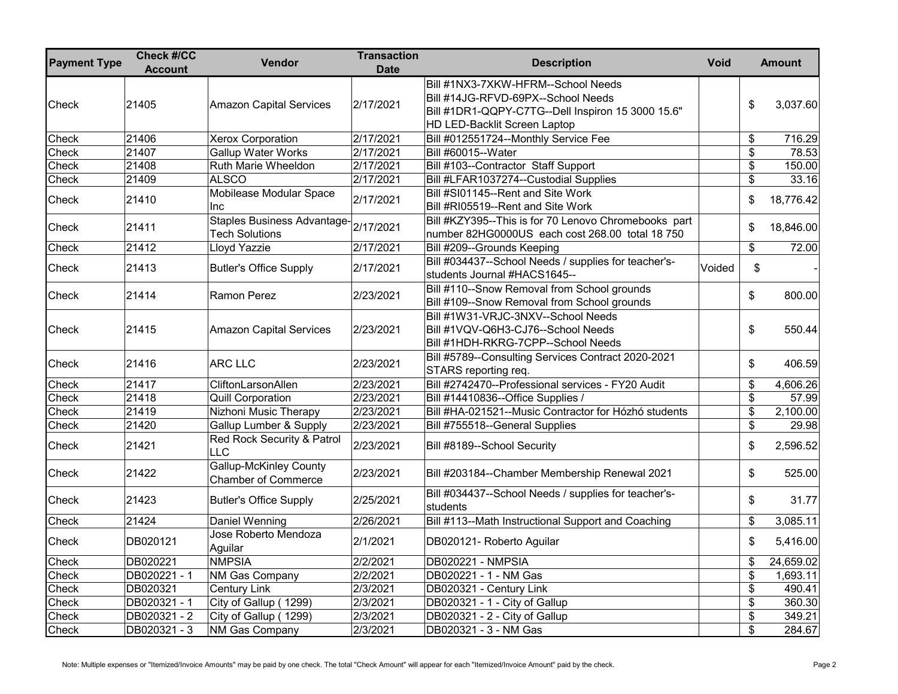| <b>Payment Type</b> | <b>Check #/CC</b><br><b>Account</b> | Vendor                                                      | <b>Transaction</b><br><b>Date</b> | <b>Description</b><br><b>Void</b>                                                                                                                             |                                  | <b>Amount</b> |
|---------------------|-------------------------------------|-------------------------------------------------------------|-----------------------------------|---------------------------------------------------------------------------------------------------------------------------------------------------------------|----------------------------------|---------------|
| Check               | 21405                               | <b>Amazon Capital Services</b>                              | 2/17/2021                         | Bill #1NX3-7XKW-HFRM--School Needs<br>Bill #14JG-RFVD-69PX--School Needs<br>Bill #1DR1-QQPY-C7TG--Dell Inspiron 15 3000 15.6"<br>HD LED-Backlit Screen Laptop | \$                               | 3,037.60      |
| Check               | 21406                               | <b>Xerox Corporation</b>                                    | 2/17/2021                         | Bill #012551724--Monthly Service Fee                                                                                                                          | \$                               | 716.29        |
| Check               | 21407                               | <b>Gallup Water Works</b>                                   | 2/17/2021                         | Bill #60015--Water                                                                                                                                            | \$                               | 78.53         |
| Check               | 21408                               | Ruth Marie Wheeldon                                         | 2/17/2021                         | Bill #103--Contractor Staff Support                                                                                                                           | \$                               | 150.00        |
| Check               | 21409                               | <b>ALSCO</b>                                                | 2/17/2021                         | Bill #LFAR1037274--Custodial Supplies                                                                                                                         | \$                               | 33.16         |
| Check               | 21410                               | Mobilease Modular Space<br>Inc                              | 2/17/2021                         | Bill #SI01145--Rent and Site Work<br>Bill #RI05519--Rent and Site Work                                                                                        | \$                               | 18,776.42     |
| Check               | 21411                               | <b>Staples Business Advantage-</b><br><b>Tech Solutions</b> | 2/17/2021                         | Bill #KZY395--This is for 70 Lenovo Chromebooks part<br>number 82HG0000US each cost 268.00 total 18 750                                                       | \$                               | 18,846.00     |
| Check               | 21412                               | Lloyd Yazzie                                                | 2/17/2021                         | Bill #209--Grounds Keeping                                                                                                                                    | \$                               | 72.00         |
| Check               | 21413                               | <b>Butler's Office Supply</b>                               | 2/17/2021                         | Bill #034437--School Needs / supplies for teacher's-<br>Voided<br>students Journal #HACS1645--                                                                | \$                               |               |
| Check               | 21414                               | Ramon Perez                                                 | 2/23/2021                         | Bill #110--Snow Removal from School grounds<br>Bill #109--Snow Removal from School grounds                                                                    | \$                               | 800.00        |
| Check               | 21415                               | <b>Amazon Capital Services</b>                              | 2/23/2021                         | Bill #1W31-VRJC-3NXV--School Needs<br>Bill #1VQV-Q6H3-CJ76--School Needs<br>Bill #1HDH-RKRG-7CPP--School Needs                                                | \$                               | 550.44        |
| Check               | 21416                               | ARC LLC                                                     | 2/23/2021                         | Bill #5789--Consulting Services Contract 2020-2021<br>STARS reporting req.                                                                                    | \$                               | 406.59        |
| Check               | 21417                               | CliftonLarsonAllen                                          | 2/23/2021                         | Bill #2742470--Professional services - FY20 Audit                                                                                                             | \$                               | 4,606.26      |
| Check               | 21418                               | <b>Quill Corporation</b>                                    | 2/23/2021                         | Bill #14410836--Office Supplies /                                                                                                                             | \$                               | 57.99         |
| Check               | 21419                               | Nizhoni Music Therapy                                       | 2/23/2021                         | Bill #HA-021521--Music Contractor for Hózhó students                                                                                                          | \$                               | 2,100.00      |
| Check               | 21420                               | <b>Gallup Lumber &amp; Supply</b>                           | 2/23/2021                         | Bill #755518--General Supplies                                                                                                                                | $\boldsymbol{\mathsf{S}}$        | 29.98         |
| Check               | 21421                               | Red Rock Security & Patrol<br><b>LLC</b>                    | 2/23/2021                         | Bill #8189--School Security                                                                                                                                   | \$                               | 2,596.52      |
| Check               | 21422                               | Gallup-McKinley County<br><b>Chamber of Commerce</b>        | 2/23/2021                         | Bill #203184--Chamber Membership Renewal 2021                                                                                                                 | \$                               | 525.00        |
| Check               | 21423                               | <b>Butler's Office Supply</b>                               | 2/25/2021                         | Bill #034437--School Needs / supplies for teacher's-<br>students                                                                                              | \$                               | 31.77         |
| Check               | 21424                               | Daniel Wenning                                              | 2/26/2021                         | Bill #113--Math Instructional Support and Coaching                                                                                                            | \$                               | 3,085.11      |
| Check               | DB020121                            | Jose Roberto Mendoza<br>Aguilar                             | 2/1/2021                          | DB020121- Roberto Aguilar                                                                                                                                     | \$                               | 5,416.00      |
| Check               | DB020221                            | <b>NMPSIA</b>                                               | 2/2/2021                          | DB020221 - NMPSIA                                                                                                                                             | \$                               | 24,659.02     |
| Check               | DB020221-1                          | <b>NM Gas Company</b>                                       | 2/2/2021                          | DB020221 - 1 - NM Gas                                                                                                                                         | \$                               | 1,693.11      |
| Check               | DB020321                            | <b>Century Link</b>                                         | 2/3/2021                          | DB020321 - Century Link                                                                                                                                       | $\overline{\mathbf{e}}$          | 490.41        |
| Check               | DB020321 - 1                        | City of Gallup (1299)                                       | 2/3/2021                          | DB020321 - 1 - City of Gallup                                                                                                                                 | \$                               | 360.30        |
| Check               | DB020321 - 2                        | City of Gallup (1299)                                       | 2/3/2021                          | DB020321 - 2 - City of Gallup                                                                                                                                 | $\overline{\boldsymbol{\theta}}$ | 349.21        |
| Check               | DB020321 - 3                        | <b>NM Gas Company</b>                                       | 2/3/2021                          | DB020321 - 3 - NM Gas                                                                                                                                         | \$                               | 284.67        |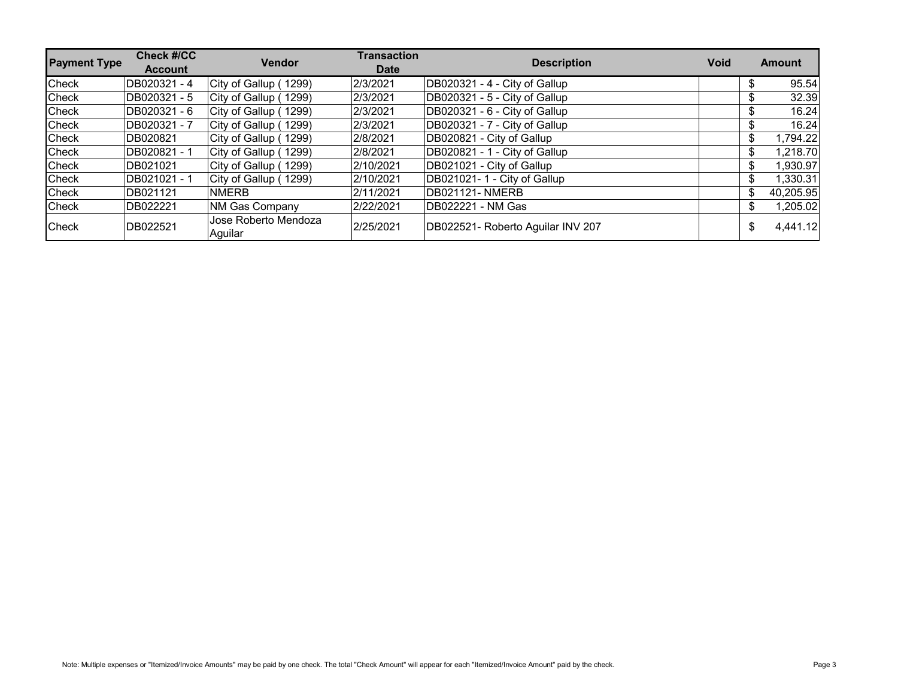| <b>Payment Type</b> | <b>Check #/CC</b><br><b>Account</b> | <b>Vendor</b>                   | <b>Transaction</b><br><b>Date</b> | <b>Description</b><br><b>Void</b> |     | <b>Amount</b> |
|---------------------|-------------------------------------|---------------------------------|-----------------------------------|-----------------------------------|-----|---------------|
| Check               | DB020321 - 4                        | City of Gallup (1299)           | 2/3/2021                          | DB020321 - 4 - City of Gallup     |     | 95.54         |
| Check               | DB020321 - 5                        | City of Gallup (1299)           | 2/3/2021                          | DB020321 - 5 - City of Gallup     |     | 32.39         |
| Check               | DB020321 - 6                        | City of Gallup (1299)           | 2/3/2021                          | DB020321 - 6 - City of Gallup     | \$  | 16.24         |
| Check               | DB020321 - 7                        | City of Gallup (1299)           | 2/3/2021                          | DB020321 - 7 - City of Gallup     | \$. | 16.24         |
| Check               | DB020821                            | City of Gallup (1299)           | 2/8/2021                          | DB020821 - City of Gallup         | \$  | 1,794.22      |
| Check               | DB020821-1                          | City of Gallup (1299)           | 2/8/2021                          | DB020821 - 1 - City of Gallup     | \$  | 1,218.70      |
| Check               | DB021021                            | City of Gallup (1299)           | 2/10/2021                         | DB021021 - City of Gallup         | \$  | 1,930.97      |
| Check               | DB021021 - 1                        | City of Gallup (1299)           | 2/10/2021                         | DB021021-1 - City of Gallup       | \$  | 1,330.31      |
| Check               | DB021121                            | <b>NMERB</b>                    | 2/11/2021                         | DB021121- NMERB                   | \$. | 40,205.95     |
| Check               | DB022221                            | <b>NM Gas Company</b>           | 2/22/2021                         | DB022221 - NM Gas                 | \$  | 1,205.02      |
| Check               | DB022521                            | Jose Roberto Mendoza<br>Aquilar | 2/25/2021                         | DB022521- Roberto Aguilar INV 207 | \$  | 4,441.12      |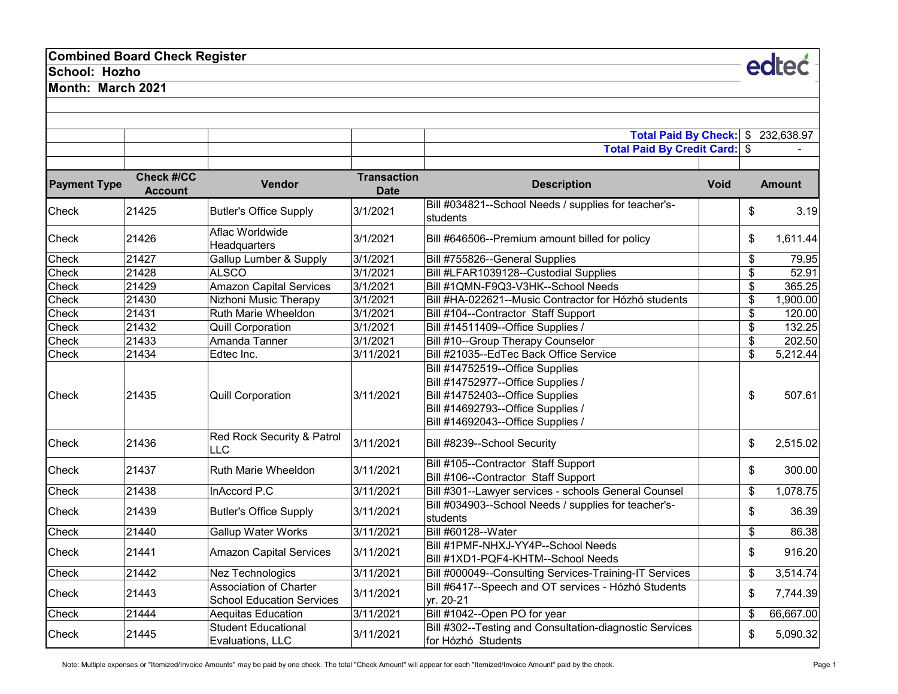# **Combined Board Check Register**

### **School: Hozho**

**Month: March 2021**

|                     |                                     |                                                                   |                                   | Total Paid By Check: \$                                                                                                                                                           | 232,638.97      |
|---------------------|-------------------------------------|-------------------------------------------------------------------|-----------------------------------|-----------------------------------------------------------------------------------------------------------------------------------------------------------------------------------|-----------------|
|                     |                                     |                                                                   |                                   | Total Paid By Credit Card: \$                                                                                                                                                     |                 |
| <b>Payment Type</b> | <b>Check #/CC</b><br><b>Account</b> | Vendor                                                            | <b>Transaction</b><br><b>Date</b> | <b>Description</b><br><b>Void</b>                                                                                                                                                 | <b>Amount</b>   |
| Check               | 21425                               | <b>Butler's Office Supply</b>                                     | 3/1/2021                          | Bill #034821--School Needs / supplies for teacher's-<br>students                                                                                                                  | \$<br>3.19      |
| Check               | 21426                               | Aflac Worldwide<br>Headquarters                                   | 3/1/2021                          | Bill #646506--Premium amount billed for policy                                                                                                                                    | \$<br>1,611.44  |
| Check               | 21427                               | <b>Gallup Lumber &amp; Supply</b>                                 | 3/1/2021                          | Bill #755826--General Supplies                                                                                                                                                    | \$<br>79.95     |
| Check               | 21428                               | <b>ALSCO</b>                                                      | 3/1/2021                          | Bill #LFAR1039128--Custodial Supplies                                                                                                                                             | \$<br>52.91     |
| Check               | 21429                               | <b>Amazon Capital Services</b>                                    | 3/1/2021                          | Bill #1QMN-F9Q3-V3HK--School Needs                                                                                                                                                | \$<br>365.25    |
| Check               | 21430                               | Nizhoni Music Therapy                                             | 3/1/2021                          | Bill #HA-022621--Music Contractor for Hózhó students                                                                                                                              | \$<br>1,900.00  |
| Check               | 21431                               | Ruth Marie Wheeldon                                               | 3/1/2021                          | Bill #104--Contractor Staff Support                                                                                                                                               | \$<br>120.00    |
| Check               | 21432                               | <b>Quill Corporation</b>                                          | 3/1/2021                          | Bill #14511409--Office Supplies /                                                                                                                                                 | \$<br>132.25    |
| Check               | 21433                               | Amanda Tanner                                                     | 3/1/2021                          | Bill #10--Group Therapy Counselor                                                                                                                                                 | \$<br>202.50    |
| Check               | 21434                               | Edtec Inc.                                                        | 3/11/2021                         | Bill #21035--EdTec Back Office Service                                                                                                                                            | \$<br>5,212.44  |
| Check               | 21435                               | <b>Quill Corporation</b>                                          | 3/11/2021                         | Bill #14752519--Office Supplies<br>Bill #14752977--Office Supplies /<br>Bill #14752403--Office Supplies<br>Bill #14692793--Office Supplies /<br>Bill #14692043--Office Supplies / | \$<br>507.61    |
| Check               | 21436                               | Red Rock Security & Patrol<br><b>LLC</b>                          | 3/11/2021                         | Bill #8239--School Security                                                                                                                                                       | \$<br>2,515.02  |
| Check               | 21437                               | Ruth Marie Wheeldon                                               | 3/11/2021                         | Bill #105--Contractor Staff Support<br>Bill #106--Contractor Staff Support                                                                                                        | \$<br>300.00    |
| Check               | 21438                               | InAccord P.C                                                      | 3/11/2021                         | Bill #301--Lawyer services - schools General Counsel                                                                                                                              | \$<br>1,078.75  |
| Check               | 21439                               | <b>Butler's Office Supply</b>                                     | 3/11/2021                         | Bill #034903--School Needs / supplies for teacher's-<br>students                                                                                                                  | \$<br>36.39     |
| Check               | 21440                               | <b>Gallup Water Works</b>                                         | 3/11/2021                         | Bill #60128--Water                                                                                                                                                                | \$<br>86.38     |
| Check               | 21441                               | <b>Amazon Capital Services</b>                                    | 3/11/2021                         | Bill #1PMF-NHXJ-YY4P--School Needs<br>Bill #1XD1-PQF4-KHTM--School Needs                                                                                                          | \$<br>916.20    |
| Check               | 21442                               | Nez Technologics                                                  | 3/11/2021                         | Bill #000049--Consulting Services-Training-IT Services                                                                                                                            | \$<br>3,514.74  |
| Check               | 21443                               | <b>Association of Charter</b><br><b>School Education Services</b> | 3/11/2021                         | Bill #6417--Speech and OT services - Hózhó Students<br>yr. 20-21                                                                                                                  | \$<br>7,744.39  |
| Check               | 21444                               | Aequitas Education                                                | 3/11/2021                         | Bill #1042--Open PO for year                                                                                                                                                      | \$<br>66,667.00 |
| Check               | 21445                               | <b>Student Educational</b><br>Evaluations, LLC                    | 3/11/2021                         | Bill #302--Testing and Consultation-diagnostic Services<br>for Hózhó Students                                                                                                     | \$<br>5,090.32  |

Note: Multiple expenses or "Itemized/Invoice Amounts" may be paid by one check. The total "Check Amount" will appear for each "Itemized/Invoice Amount" paid by the check. <br>Page 1

edteć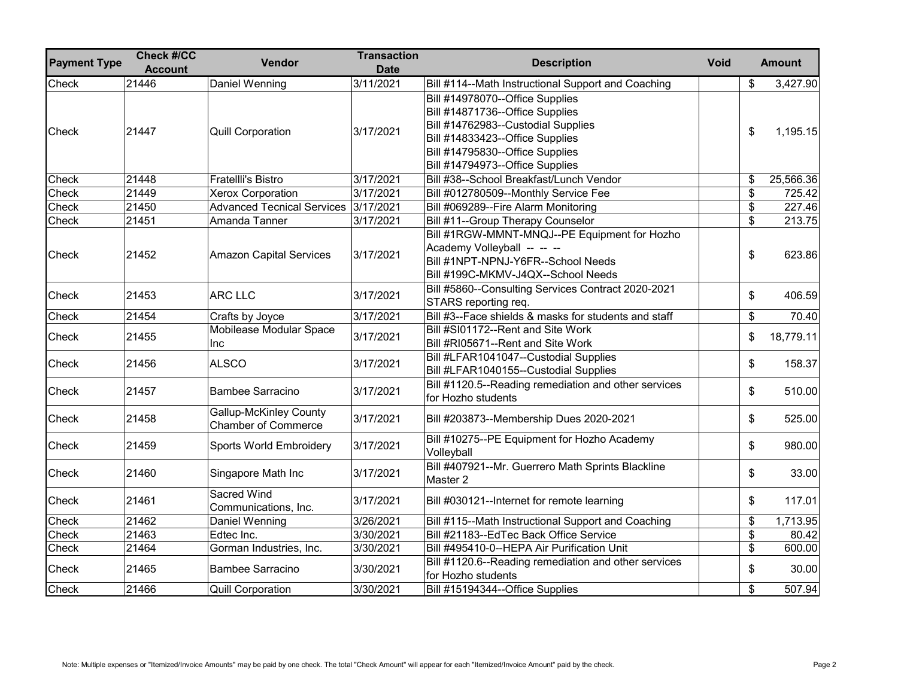| <b>Payment Type</b> | <b>Check #/CC</b><br><b>Account</b> | <b>Vendor</b>                                        | <b>Transaction</b><br><b>Date</b> | <b>Description</b><br><b>Void</b>                                                                                                                                                                                 | <b>Amount</b>   |
|---------------------|-------------------------------------|------------------------------------------------------|-----------------------------------|-------------------------------------------------------------------------------------------------------------------------------------------------------------------------------------------------------------------|-----------------|
| Check               | 21446                               | Daniel Wenning                                       | 3/11/2021                         | Bill #114--Math Instructional Support and Coaching                                                                                                                                                                | \$<br>3,427.90  |
| Check               | 21447                               | <b>Quill Corporation</b>                             | 3/17/2021                         | Bill #14978070--Office Supplies<br>Bill #14871736--Office Supplies<br>Bill #14762983--Custodial Supplies<br>Bill #14833423--Office Supplies<br>Bill #14795830--Office Supplies<br>Bill #14794973--Office Supplies | \$<br>1,195.15  |
| Check               | 21448                               | <b>Fratellli's Bistro</b>                            | 3/17/2021                         | Bill #38--School Breakfast/Lunch Vendor                                                                                                                                                                           | \$<br>25,566.36 |
| Check               | 21449                               | <b>Xerox Corporation</b>                             | 3/17/2021                         | Bill #012780509--Monthly Service Fee                                                                                                                                                                              | \$<br>725.42    |
| Check               | 21450                               | <b>Advanced Tecnical Services</b>                    | 3/17/2021                         | Bill #069289--Fire Alarm Monitoring                                                                                                                                                                               | \$<br>227.46    |
| Check               | 21451                               | Amanda Tanner                                        | 3/17/2021                         | Bill #11--Group Therapy Counselor                                                                                                                                                                                 | \$<br>213.75    |
| Check               | 21452                               | <b>Amazon Capital Services</b>                       | 3/17/2021                         | Bill #1RGW-MMNT-MNQJ--PE Equipment for Hozho<br>Academy Volleyball -- -- --<br>Bill #1NPT-NPNJ-Y6FR--School Needs<br>Bill #199C-MKMV-J4QX--School Needs                                                           | \$<br>623.86    |
| Check               | 21453                               | <b>ARC LLC</b>                                       | 3/17/2021                         | Bill #5860--Consulting Services Contract 2020-2021<br>STARS reporting req.                                                                                                                                        | \$<br>406.59    |
| Check               | 21454                               | Crafts by Joyce                                      | 3/17/2021                         | Bill #3--Face shields & masks for students and staff                                                                                                                                                              | \$<br>70.40     |
| Check               | 21455                               | Mobilease Modular Space<br><b>Inc</b>                | 3/17/2021                         | Bill #SI01172--Rent and Site Work<br>Bill #RI05671--Rent and Site Work                                                                                                                                            | \$<br>18,779.11 |
| Check               | 21456                               | <b>ALSCO</b>                                         | 3/17/2021                         | Bill #LFAR1041047--Custodial Supplies<br>Bill #LFAR1040155--Custodial Supplies                                                                                                                                    | \$<br>158.37    |
| Check               | 21457                               | <b>Bambee Sarracino</b>                              | 3/17/2021                         | Bill #1120.5--Reading remediation and other services<br>for Hozho students                                                                                                                                        | \$<br>510.00    |
| Check               | 21458                               | Gallup-McKinley County<br><b>Chamber of Commerce</b> | 3/17/2021                         | Bill #203873--Membership Dues 2020-2021                                                                                                                                                                           | \$<br>525.00    |
| Check               | 21459                               | <b>Sports World Embroidery</b>                       | 3/17/2021                         | Bill #10275--PE Equipment for Hozho Academy<br>Volleyball                                                                                                                                                         | \$<br>980.00    |
| Check               | 21460                               | Singapore Math Inc                                   | 3/17/2021                         | Bill #407921--Mr. Guerrero Math Sprints Blackline<br>Master 2                                                                                                                                                     | \$<br>33.00     |
| Check               | 21461                               | Sacred Wind<br>Communications, Inc.                  | 3/17/2021                         | Bill #030121--Internet for remote learning                                                                                                                                                                        | \$<br>117.01    |
| Check               | 21462                               | Daniel Wenning                                       | 3/26/2021                         | Bill #115--Math Instructional Support and Coaching                                                                                                                                                                | \$<br>1,713.95  |
| Check               | 21463                               | Edtec Inc.                                           | 3/30/2021                         | Bill #21183--EdTec Back Office Service                                                                                                                                                                            | \$<br>80.42     |
| Check               | 21464                               | Gorman Industries, Inc.                              | 3/30/2021                         | Bill #495410-0--HEPA Air Purification Unit                                                                                                                                                                        | \$<br>600.00    |
| Check               | 21465                               | Bambee Sarracino                                     | 3/30/2021                         | Bill #1120.6--Reading remediation and other services<br>for Hozho students                                                                                                                                        | \$<br>30.00     |
| Check               | 21466                               | <b>Quill Corporation</b>                             | 3/30/2021                         | Bill #15194344--Office Supplies                                                                                                                                                                                   | \$<br>507.94    |